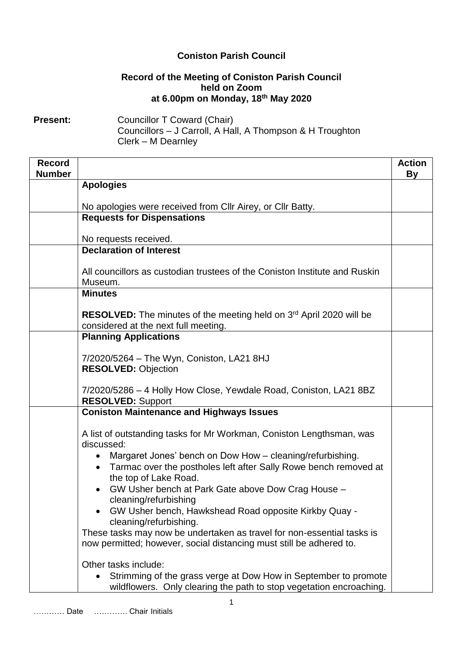## **Coniston Parish Council**

## **Record of the Meeting of Coniston Parish Council held on Zoom at 6.00pm on Monday, 18th May 2020**

**Present:** Councillor T Coward (Chair) Councillors – J Carroll, A Hall, A Thompson & H Troughton Clerk – M Dearnley

| <b>Record</b><br><b>Number</b> |                                                                                                                                                                | <b>Action</b><br><b>By</b> |
|--------------------------------|----------------------------------------------------------------------------------------------------------------------------------------------------------------|----------------------------|
|                                | <b>Apologies</b>                                                                                                                                               |                            |
|                                | No apologies were received from CIIr Airey, or CIIr Batty.                                                                                                     |                            |
|                                | <b>Requests for Dispensations</b>                                                                                                                              |                            |
|                                | No requests received.                                                                                                                                          |                            |
|                                | <b>Declaration of Interest</b>                                                                                                                                 |                            |
|                                | All councillors as custodian trustees of the Coniston Institute and Ruskin<br>Museum.                                                                          |                            |
|                                | <b>Minutes</b>                                                                                                                                                 |                            |
|                                | RESOLVED: The minutes of the meeting held on 3rd April 2020 will be<br>considered at the next full meeting.                                                    |                            |
|                                | <b>Planning Applications</b>                                                                                                                                   |                            |
|                                | 7/2020/5264 - The Wyn, Coniston, LA21 8HJ<br><b>RESOLVED: Objection</b>                                                                                        |                            |
|                                | 7/2020/5286 - 4 Holly How Close, Yewdale Road, Coniston, LA21 8BZ<br><b>RESOLVED: Support</b>                                                                  |                            |
|                                | <b>Coniston Maintenance and Highways Issues</b>                                                                                                                |                            |
|                                | A list of outstanding tasks for Mr Workman, Coniston Lengthsman, was<br>discussed:                                                                             |                            |
|                                | Margaret Jones' bench on Dow How - cleaning/refurbishing.<br>Tarmac over the postholes left after Sally Rowe bench removed at<br>the top of Lake Road.         |                            |
|                                | GW Usher bench at Park Gate above Dow Crag House -<br>cleaning/refurbishing                                                                                    |                            |
|                                | GW Usher bench, Hawkshead Road opposite Kirkby Quay -<br>cleaning/refurbishing.                                                                                |                            |
|                                | These tasks may now be undertaken as travel for non-essential tasks is<br>now permitted; however, social distancing must still be adhered to.                  |                            |
|                                | Other tasks include:<br>Strimming of the grass verge at Dow How in September to promote<br>wildflowers. Only clearing the path to stop vegetation encroaching. |                            |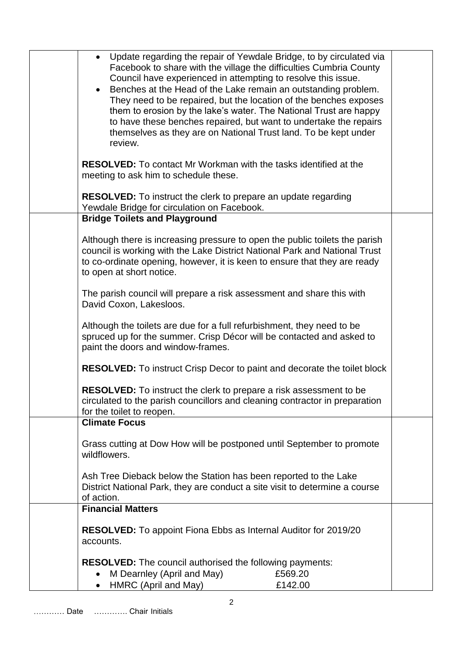| • Update regarding the repair of Yewdale Bridge, to by circulated via<br>Facebook to share with the village the difficulties Cumbria County<br>Council have experienced in attempting to resolve this issue.<br>Benches at the Head of the Lake remain an outstanding problem.<br>They need to be repaired, but the location of the benches exposes<br>them to erosion by the lake's water. The National Trust are happy<br>to have these benches repaired, but want to undertake the repairs<br>themselves as they are on National Trust land. To be kept under<br>review. |  |
|-----------------------------------------------------------------------------------------------------------------------------------------------------------------------------------------------------------------------------------------------------------------------------------------------------------------------------------------------------------------------------------------------------------------------------------------------------------------------------------------------------------------------------------------------------------------------------|--|
| <b>RESOLVED:</b> To contact Mr Workman with the tasks identified at the<br>meeting to ask him to schedule these.                                                                                                                                                                                                                                                                                                                                                                                                                                                            |  |
| RESOLVED: To instruct the clerk to prepare an update regarding<br>Yewdale Bridge for circulation on Facebook.                                                                                                                                                                                                                                                                                                                                                                                                                                                               |  |
| <b>Bridge Toilets and Playground</b>                                                                                                                                                                                                                                                                                                                                                                                                                                                                                                                                        |  |
| Although there is increasing pressure to open the public toilets the parish<br>council is working with the Lake District National Park and National Trust<br>to co-ordinate opening, however, it is keen to ensure that they are ready<br>to open at short notice.                                                                                                                                                                                                                                                                                                          |  |
| The parish council will prepare a risk assessment and share this with<br>David Coxon, Lakesloos.                                                                                                                                                                                                                                                                                                                                                                                                                                                                            |  |
| Although the toilets are due for a full refurbishment, they need to be<br>spruced up for the summer. Crisp Décor will be contacted and asked to<br>paint the doors and window-frames.                                                                                                                                                                                                                                                                                                                                                                                       |  |
| <b>RESOLVED:</b> To instruct Crisp Decor to paint and decorate the toilet block                                                                                                                                                                                                                                                                                                                                                                                                                                                                                             |  |
| <b>RESOLVED:</b> To instruct the clerk to prepare a risk assessment to be<br>circulated to the parish councillors and cleaning contractor in preparation<br>for the toilet to reopen.                                                                                                                                                                                                                                                                                                                                                                                       |  |
| <b>Climate Focus</b>                                                                                                                                                                                                                                                                                                                                                                                                                                                                                                                                                        |  |
| Grass cutting at Dow How will be postponed until September to promote<br>wildflowers.                                                                                                                                                                                                                                                                                                                                                                                                                                                                                       |  |
| Ash Tree Dieback below the Station has been reported to the Lake<br>District National Park, they are conduct a site visit to determine a course<br>of action.                                                                                                                                                                                                                                                                                                                                                                                                               |  |
| <b>Financial Matters</b>                                                                                                                                                                                                                                                                                                                                                                                                                                                                                                                                                    |  |
| <b>RESOLVED:</b> To appoint Fiona Ebbs as Internal Auditor for 2019/20<br>accounts.                                                                                                                                                                                                                                                                                                                                                                                                                                                                                         |  |
| <b>RESOLVED:</b> The council authorised the following payments:<br>M Dearnley (April and May)<br>£569.20<br>HMRC (April and May)<br>£142.00                                                                                                                                                                                                                                                                                                                                                                                                                                 |  |